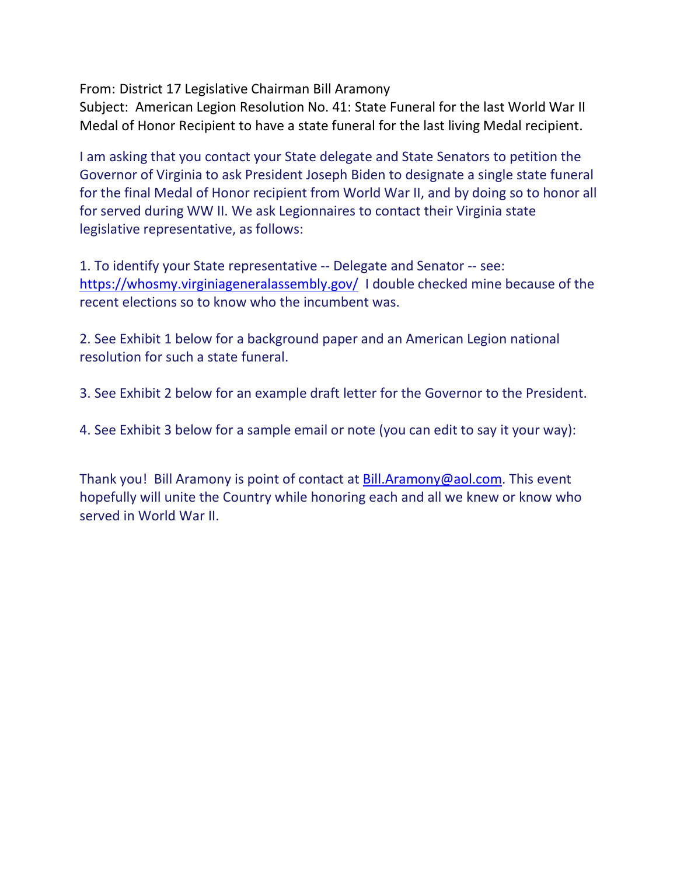From: District 17 Legislative Chairman Bill Aramony

Subject: American Legion Resolution No. 41: State Funeral for the last World War II Medal of Honor Recipient to have a state funeral for the last living Medal recipient.

I am asking that you contact your State delegate and State Senators to petition the Governor of Virginia to ask President Joseph Biden to designate a single state funeral for the final Medal of Honor recipient from World War II, and by doing so to honor all for served during WW II. We ask Legionnaires to contact their Virginia state legislative representative, as follows:

1. To identify your State representative -- Delegate and Senator -- see: <https://whosmy.virginiageneralassembly.gov/>I double checked mine because of the recent elections so to know who the incumbent was.

2. See Exhibit 1 below for a background paper and an American Legion national resolution for such a state funeral.

3. See Exhibit 2 below for an example draft letter for the Governor to the President.

4. See Exhibit 3 below for a sample email or note (you can edit to say it your way):

Thank you! Bill Aramony is point of contact at [Bill.Aramony@aol.com.](mailto:Bill.Aramony@aol.com) This event hopefully will unite the Country while honoring each and all we knew or know who served in World War II.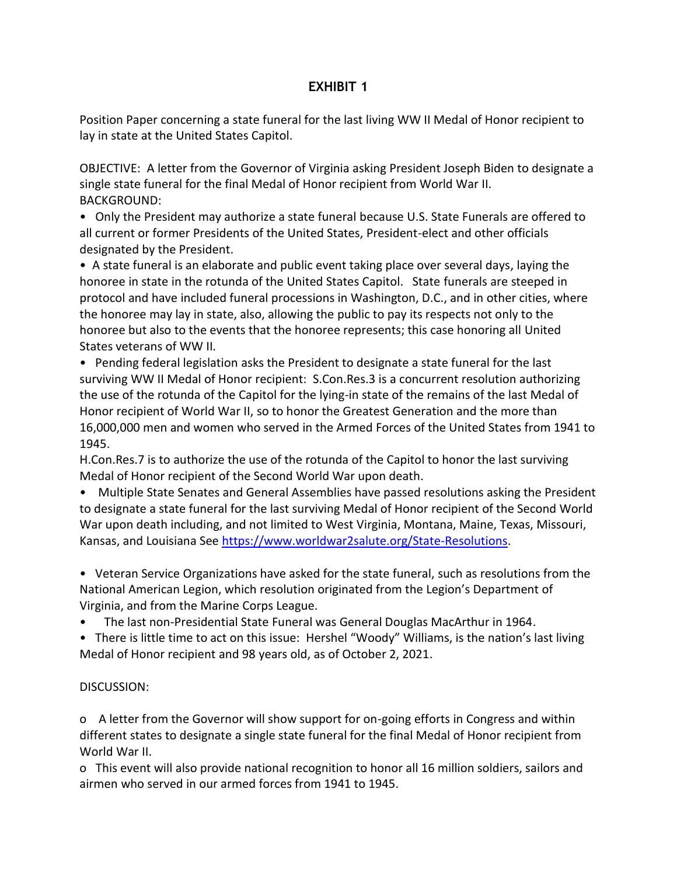### **EXHIBIT 1**

Position Paper concerning a state funeral for the last living WW II Medal of Honor recipient to lay in state at the United States Capitol.

OBJECTIVE: A letter from the Governor of Virginia asking President Joseph Biden to designate a single state funeral for the final Medal of Honor recipient from World War II. BACKGROUND:

• Only the President may authorize a state funeral because U.S. State Funerals are offered to all current or former Presidents of the United States, President-elect and other officials designated by the President.

• A state funeral is an elaborate and public event taking place over several days, laying the honoree in state in the rotunda of the United States Capitol. State funerals are steeped in protocol and have included funeral processions in Washington, D.C., and in other cities, where the honoree may lay in state, also, allowing the public to pay its respects not only to the honoree but also to the events that the honoree represents; this case honoring all United States veterans of WW II.

• Pending federal legislation asks the President to designate a state funeral for the last surviving WW II Medal of Honor recipient: S.Con.Res.3 is a concurrent resolution authorizing the use of the rotunda of the Capitol for the lying-in state of the remains of the last Medal of Honor recipient of World War II, so to honor the Greatest Generation and the more than 16,000,000 men and women who served in the Armed Forces of the United States from 1941 to 1945.

H.Con.Res.7 is to authorize the use of the rotunda of the Capitol to honor the last surviving Medal of Honor recipient of the Second World War upon death.

• Multiple State Senates and General Assemblies have passed resolutions asking the President to designate a state funeral for the last surviving Medal of Honor recipient of the Second World War upon death including, and not limited to West Virginia, Montana, Maine, Texas, Missouri, Kansas, and Louisiana See [https://www.worldwar2salute.org/State-Resolutions.](https://www.worldwar2salute.org/State-Resolutions)

• Veteran Service Organizations have asked for the state funeral, such as resolutions from the National American Legion, which resolution originated from the Legion's Department of Virginia, and from the Marine Corps League.

• The last non-Presidential State Funeral was General Douglas MacArthur in 1964.

• There is little time to act on this issue: Hershel "Woody" Williams, is the nation's last living Medal of Honor recipient and 98 years old, as of October 2, 2021.

### DISCUSSION:

o A letter from the Governor will show support for on-going efforts in Congress and within different states to designate a single state funeral for the final Medal of Honor recipient from World War II.

o This event will also provide national recognition to honor all 16 million soldiers, sailors and airmen who served in our armed forces from 1941 to 1945.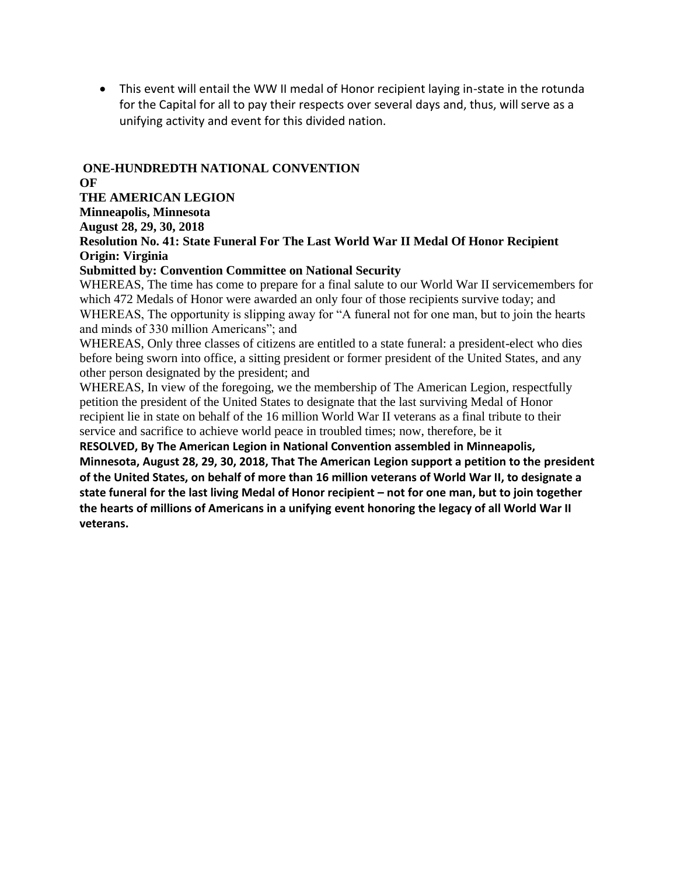This event will entail the WW II medal of Honor recipient laying in-state in the rotunda for the Capital for all to pay their respects over several days and, thus, will serve as a unifying activity and event for this divided nation.

#### **ONE-HUNDREDTH NATIONAL CONVENTION OF**

**THE AMERICAN LEGION** 

**Minneapolis, Minnesota** 

**August 28, 29, 30, 2018** 

**Resolution No. 41: State Funeral For The Last World War II Medal Of Honor Recipient Origin: Virginia** 

#### **Submitted by: Convention Committee on National Security**

WHEREAS, The time has come to prepare for a final salute to our World War II servicemembers for which 472 Medals of Honor were awarded an only four of those recipients survive today; and WHEREAS, The opportunity is slipping away for "A funeral not for one man, but to join the hearts and minds of 330 million Americans"; and

WHEREAS, Only three classes of citizens are entitled to a state funeral: a president-elect who dies before being sworn into office, a sitting president or former president of the United States, and any other person designated by the president; and

WHEREAS, In view of the foregoing, we the membership of The American Legion, respectfully petition the president of the United States to designate that the last surviving Medal of Honor recipient lie in state on behalf of the 16 million World War II veterans as a final tribute to their service and sacrifice to achieve world peace in troubled times; now, therefore, be it

**RESOLVED, By The American Legion in National Convention assembled in Minneapolis, Minnesota, August 28, 29, 30, 2018, That The American Legion support a petition to the president of the United States, on behalf of more than 16 million veterans of World War II, to designate a state funeral for the last living Medal of Honor recipient – not for one man, but to join together the hearts of millions of Americans in a unifying event honoring the legacy of all World War II veterans.**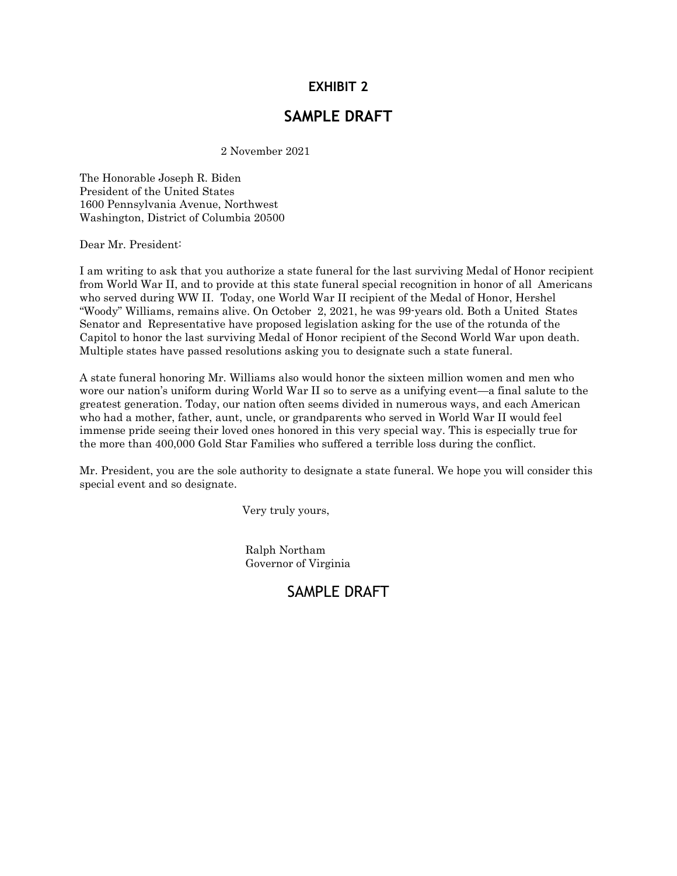### **EXHIBIT 2**

## **SAMPLE DRAFT**

2 November 2021

The Honorable Joseph R. Biden President of the United States 1600 Pennsylvania Avenue, Northwest Washington, District of Columbia 20500

Dear Mr. President:

I am writing to ask that you authorize a state funeral for the last surviving Medal of Honor recipient from World War II, and to provide at this state funeral special recognition in honor of all Americans who served during WW II. Today, one World War II recipient of the Medal of Honor, Hershel "Woody" Williams, remains alive. On October 2, 2021, he was 99-years old. Both a United States Senator and Representative have proposed legislation asking for the use of the rotunda of the Capitol to honor the last surviving Medal of Honor recipient of the Second World War upon death. Multiple states have passed resolutions asking you to designate such a state funeral.

A state funeral honoring Mr. Williams also would honor the sixteen million women and men who wore our nation's uniform during World War II so to serve as a unifying event—a final salute to the greatest generation. Today, our nation often seems divided in numerous ways, and each American who had a mother, father, aunt, uncle, or grandparents who served in World War II would feel immense pride seeing their loved ones honored in this very special way. This is especially true for the more than 400,000 Gold Star Families who suffered a terrible loss during the conflict.

Mr. President, you are the sole authority to designate a state funeral. We hope you will consider this special event and so designate.

Very truly yours,

 Ralph Northam Governor of Virginia

# SAMPLE DRAFT